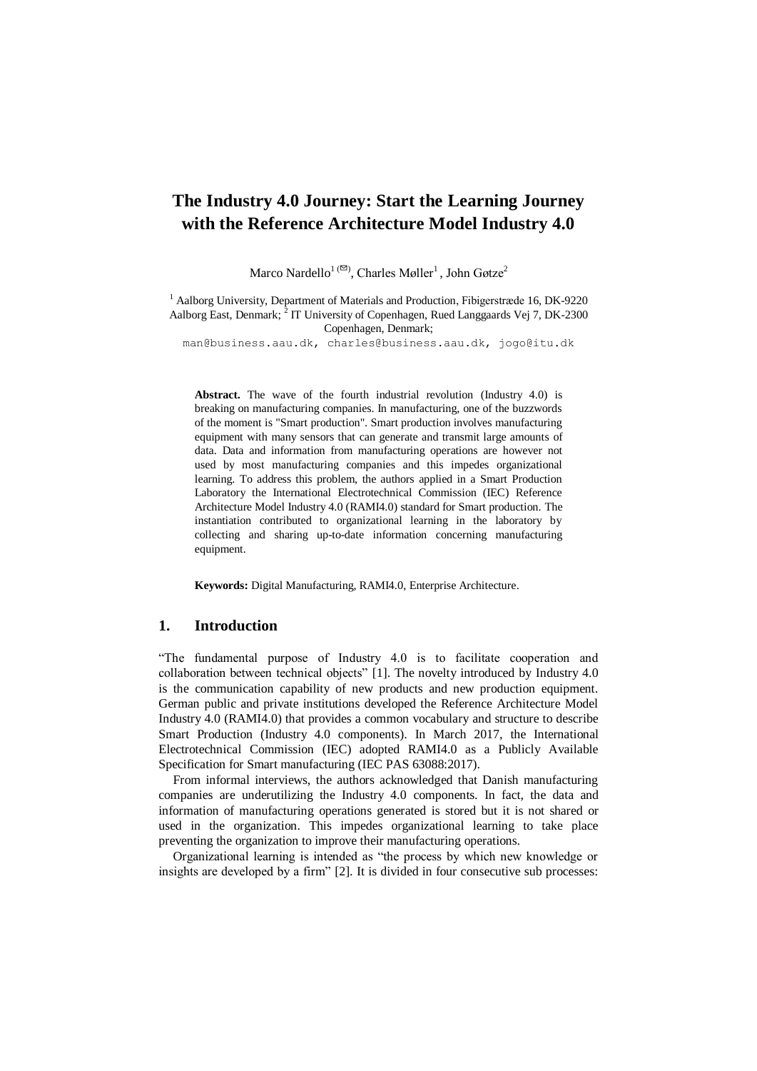# **The Industry 4.0 Journey: Start the Learning Journey with the Reference Architecture Model Industry 4.0**

Marco Nardello<sup>1 ( $\Xi$ )</sup>, Charles Møller<sup>1</sup>, John Gøtze<sup>2</sup>

 $1$  Aalborg University, Department of Materials and Production, Fibigerstræde 16, DK-9220 Aalborg East, Denmark;  $^{2}$  IT University of Copenhagen, Rued Langgaards Vej 7, DK-2300 Copenhagen, Denmark;

man@business.aau.dk, [charles@business.aau.dk,](mailto:charles@business.aau.dk) jogo@itu.dk

**Abstract.** The wave of the fourth industrial revolution (Industry 4.0) is breaking on manufacturing companies. In manufacturing, one of the buzzwords of the moment is "Smart production". Smart production involves manufacturing equipment with many sensors that can generate and transmit large amounts of data. Data and information from manufacturing operations are however not used by most manufacturing companies and this impedes organizational learning. To address this problem, the authors applied in a Smart Production Laboratory the International Electrotechnical Commission (IEC) Reference Architecture Model Industry 4.0 (RAMI4.0) standard for Smart production. The instantiation contributed to organizational learning in the laboratory by collecting and sharing up-to-date information concerning manufacturing equipment.

**Keywords:** Digital Manufacturing, RAMI4.0, Enterprise Architecture.

### **1. Introduction**

"The fundamental purpose of Industry 4.0 is to facilitate cooperation and collaboration between technical objects" [1]. The novelty introduced by Industry 4.0 is the communication capability of new products and new production equipment. German public and private institutions developed the Reference Architecture Model Industry 4.0 (RAMI4.0) that provides a common vocabulary and structure to describe Smart Production (Industry 4.0 components). In March 2017, the International Electrotechnical Commission (IEC) adopted RAMI4.0 as a Publicly Available Specification for Smart manufacturing (IEC PAS 63088:2017).

From informal interviews, the authors acknowledged that Danish manufacturing companies are underutilizing the Industry 4.0 components. In fact, the data and information of manufacturing operations generated is stored but it is not shared or used in the organization. This impedes organizational learning to take place preventing the organization to improve their manufacturing operations.

Organizational learning is intended as "the process by which new knowledge or insights are developed by a firm" [2]. It is divided in four consecutive sub processes: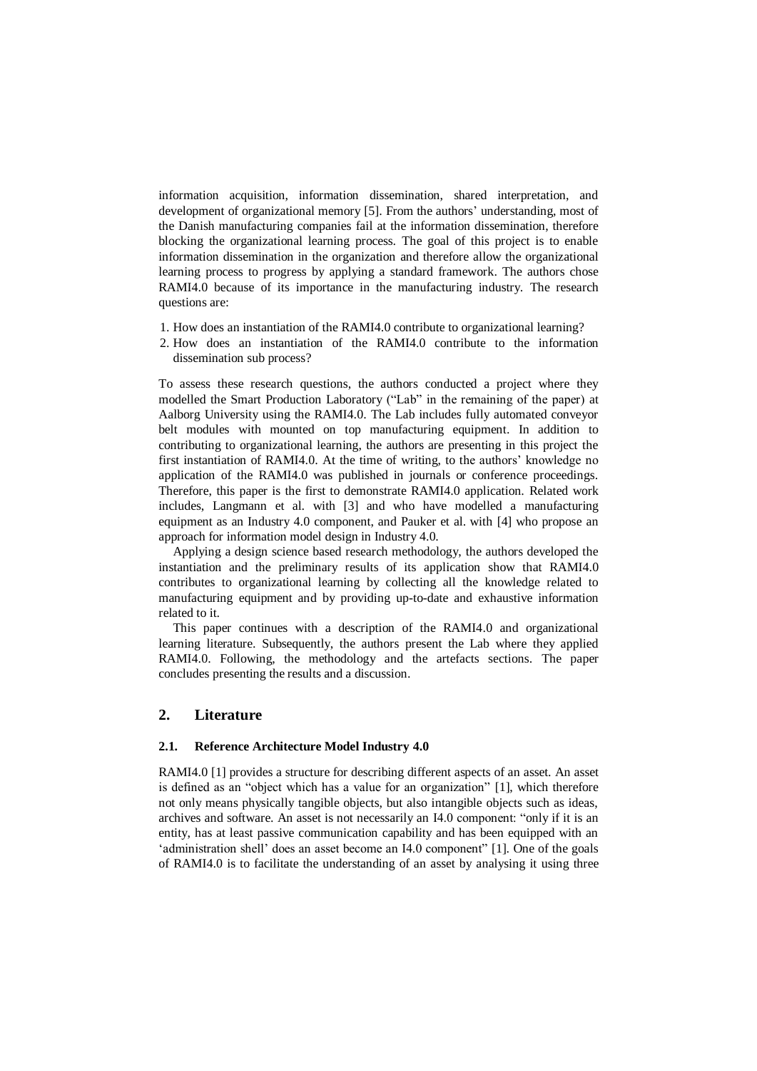information acquisition, information dissemination, shared interpretation, and development of organizational memory [5]. From the authors' understanding, most of the Danish manufacturing companies fail at the information dissemination, therefore blocking the organizational learning process. The goal of this project is to enable information dissemination in the organization and therefore allow the organizational learning process to progress by applying a standard framework. The authors chose RAMI4.0 because of its importance in the manufacturing industry. The research questions are:

- 1. How does an instantiation of the RAMI4.0 contribute to organizational learning?
- 2. How does an instantiation of the RAMI4.0 contribute to the information dissemination sub process?

To assess these research questions, the authors conducted a project where they modelled the Smart Production Laboratory ("Lab" in the remaining of the paper) at Aalborg University using the RAMI4.0. The Lab includes fully automated conveyor belt modules with mounted on top manufacturing equipment. In addition to contributing to organizational learning, the authors are presenting in this project the first instantiation of RAMI4.0. At the time of writing, to the authors' knowledge no application of the RAMI4.0 was published in journals or conference proceedings. Therefore, this paper is the first to demonstrate RAMI4.0 application. Related work includes, Langmann et al. with [3] and who have modelled a manufacturing equipment as an Industry 4.0 component, and Pauker et al. with [4] who propose an approach for information model design in Industry 4.0.

Applying a design science based research methodology, the authors developed the instantiation and the preliminary results of its application show that RAMI4.0 contributes to organizational learning by collecting all the knowledge related to manufacturing equipment and by providing up-to-date and exhaustive information related to it.

This paper continues with a description of the RAMI4.0 and organizational learning literature. Subsequently, the authors present the Lab where they applied RAMI4.0. Following, the methodology and the artefacts sections. The paper concludes presenting the results and a discussion.

### **2. Literature**

#### **2.1. Reference Architecture Model Industry 4.0**

RAMI4.0 [1] provides a structure for describing different aspects of an asset. An asset is defined as an "object which has a value for an organization" [1], which therefore not only means physically tangible objects, but also intangible objects such as ideas, archives and software. An asset is not necessarily an I4.0 component: "only if it is an entity, has at least passive communication capability and has been equipped with an 'administration shell' does an asset become an I4.0 component" [1]. One of the goals of RAMI4.0 is to facilitate the understanding of an asset by analysing it using three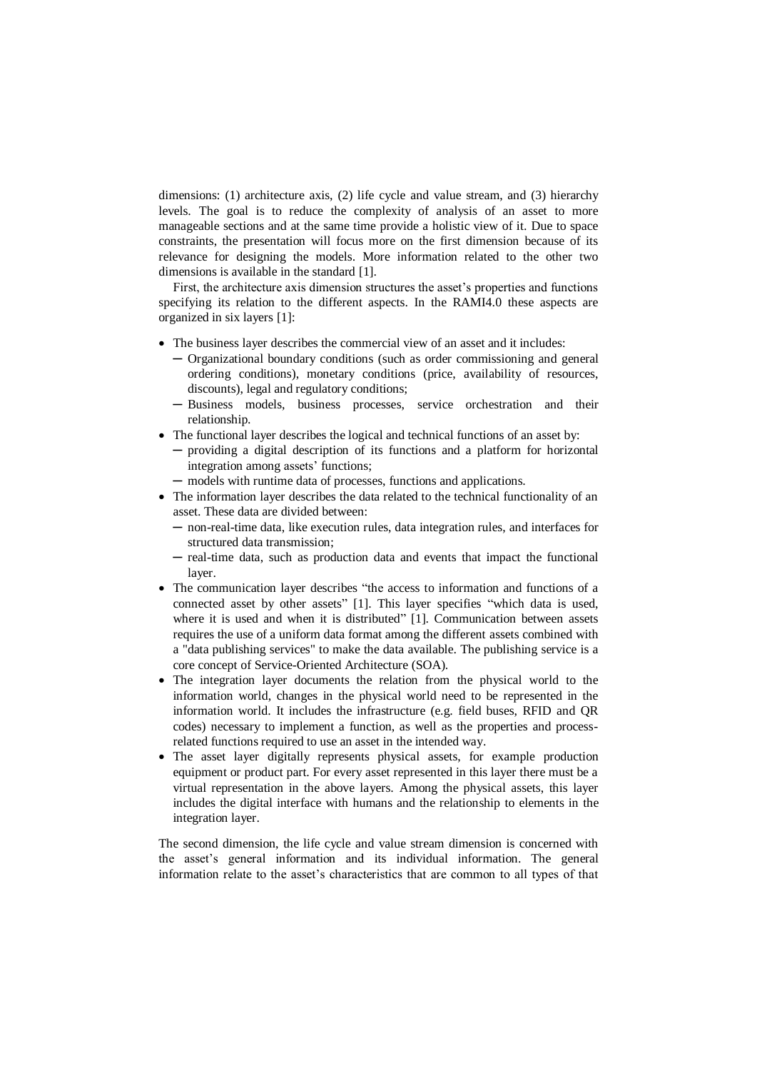dimensions: (1) architecture axis, (2) life cycle and value stream, and (3) hierarchy levels. The goal is to reduce the complexity of analysis of an asset to more manageable sections and at the same time provide a holistic view of it. Due to space constraints, the presentation will focus more on the first dimension because of its relevance for designing the models. More information related to the other two dimensions is available in the standard [1].

First, the architecture axis dimension structures the asset's properties and functions specifying its relation to the different aspects. In the RAMI4.0 these aspects are organized in six layers [1]:

- The business layer describes the commercial view of an asset and it includes:
	- ─ Organizational boundary conditions (such as order commissioning and general ordering conditions), monetary conditions (price, availability of resources, discounts), legal and regulatory conditions;
	- ─ Business models, business processes, service orchestration and their relationship.
- The functional layer describes the logical and technical functions of an asset by:
	- ─ providing a digital description of its functions and a platform for horizontal integration among assets' functions;
	- ─ models with runtime data of processes, functions and applications.
- The information layer describes the data related to the technical functionality of an asset. These data are divided between:
	- ─ non-real-time data, like execution rules, data integration rules, and interfaces for structured data transmission;
	- ─ real-time data, such as production data and events that impact the functional layer.
- The communication layer describes "the access to information and functions of a connected asset by other assets" [1]. This layer specifies "which data is used, where it is used and when it is distributed" [1]. Communication between assets requires the use of a uniform data format among the different assets combined with a "data publishing services" to make the data available. The publishing service is a core concept of Service-Oriented Architecture (SOA).
- The integration layer documents the relation from the physical world to the information world, changes in the physical world need to be represented in the information world. It includes the infrastructure (e.g. field buses, RFID and QR codes) necessary to implement a function, as well as the properties and processrelated functions required to use an asset in the intended way.
- The asset layer digitally represents physical assets, for example production equipment or product part. For every asset represented in this layer there must be a virtual representation in the above layers. Among the physical assets, this layer includes the digital interface with humans and the relationship to elements in the integration layer.

The second dimension, the life cycle and value stream dimension is concerned with the asset's general information and its individual information. The general information relate to the asset's characteristics that are common to all types of that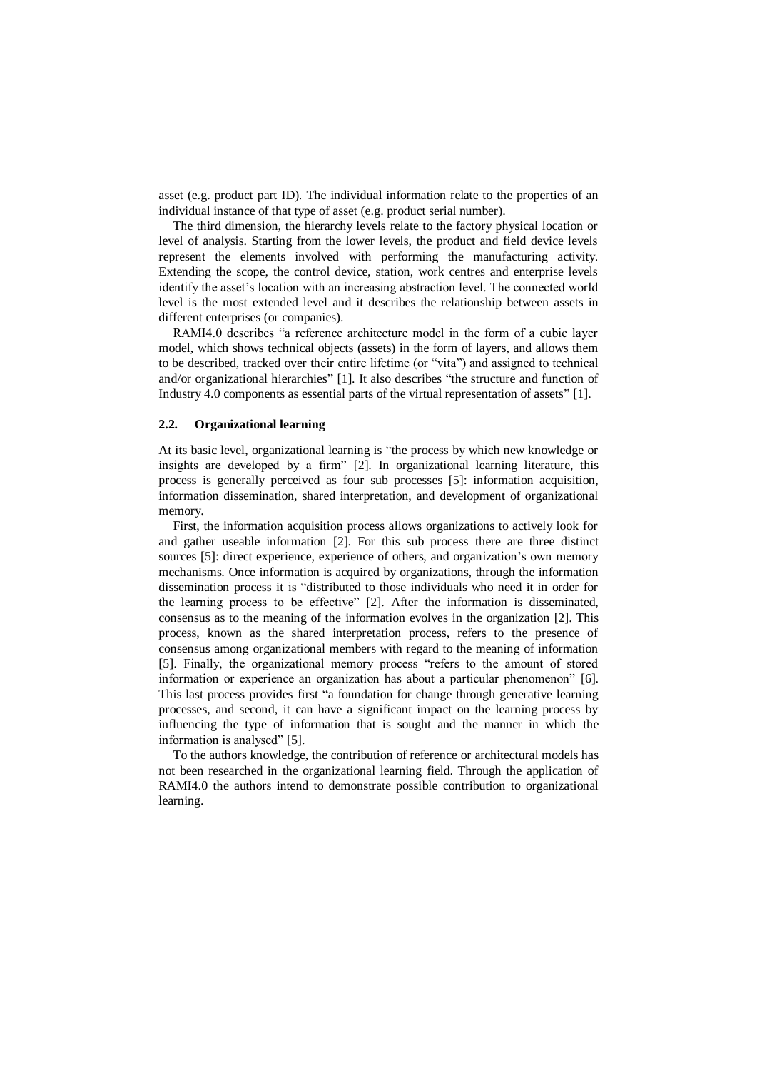asset (e.g. product part ID). The individual information relate to the properties of an individual instance of that type of asset (e.g. product serial number).

The third dimension, the hierarchy levels relate to the factory physical location or level of analysis. Starting from the lower levels, the product and field device levels represent the elements involved with performing the manufacturing activity. Extending the scope, the control device, station, work centres and enterprise levels identify the asset's location with an increasing abstraction level. The connected world level is the most extended level and it describes the relationship between assets in different enterprises (or companies).

RAMI4.0 describes "a reference architecture model in the form of a cubic layer model, which shows technical objects (assets) in the form of layers, and allows them to be described, tracked over their entire lifetime (or "vita") and assigned to technical and/or organizational hierarchies" [1]. It also describes "the structure and function of Industry 4.0 components as essential parts of the virtual representation of assets" [1].

#### **2.2. Organizational learning**

At its basic level, organizational learning is "the process by which new knowledge or insights are developed by a firm" [2]. In organizational learning literature, this process is generally perceived as four sub processes [5]: information acquisition, information dissemination, shared interpretation, and development of organizational memory.

First, the information acquisition process allows organizations to actively look for and gather useable information [2]. For this sub process there are three distinct sources [5]: direct experience, experience of others, and organization's own memory mechanisms. Once information is acquired by organizations, through the information dissemination process it is "distributed to those individuals who need it in order for the learning process to be effective" [2]. After the information is disseminated, consensus as to the meaning of the information evolves in the organization [2]. This process, known as the shared interpretation process, refers to the presence of consensus among organizational members with regard to the meaning of information [5]. Finally, the organizational memory process "refers to the amount of stored information or experience an organization has about a particular phenomenon" [6]. This last process provides first "a foundation for change through generative learning processes, and second, it can have a significant impact on the learning process by influencing the type of information that is sought and the manner in which the information is analysed" [5].

To the authors knowledge, the contribution of reference or architectural models has not been researched in the organizational learning field. Through the application of RAMI4.0 the authors intend to demonstrate possible contribution to organizational learning.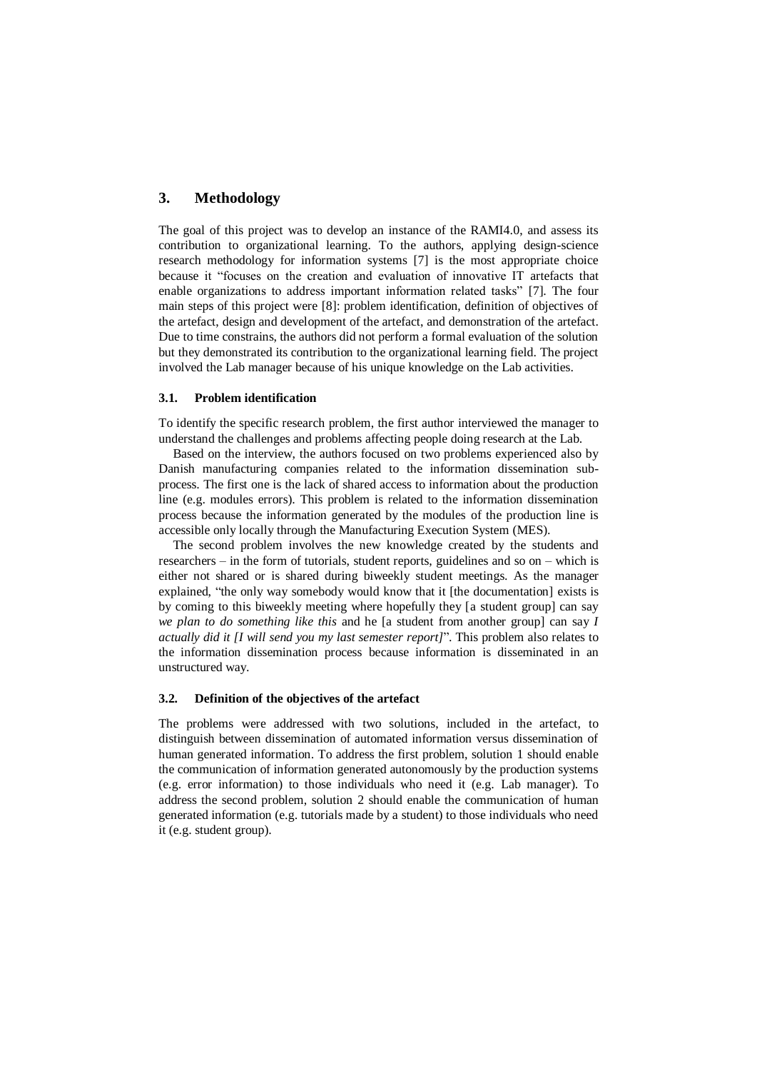# **3. Methodology**

The goal of this project was to develop an instance of the RAMI4.0, and assess its contribution to organizational learning. To the authors, applying design-science research methodology for information systems [7] is the most appropriate choice because it "focuses on the creation and evaluation of innovative IT artefacts that enable organizations to address important information related tasks" [7]. The four main steps of this project were [8]: problem identification, definition of objectives of the artefact, design and development of the artefact, and demonstration of the artefact. Due to time constrains, the authors did not perform a formal evaluation of the solution but they demonstrated its contribution to the organizational learning field. The project involved the Lab manager because of his unique knowledge on the Lab activities.

#### **3.1. Problem identification**

To identify the specific research problem, the first author interviewed the manager to understand the challenges and problems affecting people doing research at the Lab.

Based on the interview, the authors focused on two problems experienced also by Danish manufacturing companies related to the information dissemination subprocess. The first one is the lack of shared access to information about the production line (e.g. modules errors). This problem is related to the information dissemination process because the information generated by the modules of the production line is accessible only locally through the Manufacturing Execution System (MES).

The second problem involves the new knowledge created by the students and researchers – in the form of tutorials, student reports, guidelines and so on – which is either not shared or is shared during biweekly student meetings. As the manager explained, "the only way somebody would know that it [the documentation] exists is by coming to this biweekly meeting where hopefully they [a student group] can say *we plan to do something like this* and he [a student from another group] can say *I actually did it [I will send you my last semester report]*". This problem also relates to the information dissemination process because information is disseminated in an unstructured way.

#### **3.2. Definition of the objectives of the artefact**

The problems were addressed with two solutions, included in the artefact, to distinguish between dissemination of automated information versus dissemination of human generated information. To address the first problem, solution 1 should enable the communication of information generated autonomously by the production systems (e.g. error information) to those individuals who need it (e.g. Lab manager). To address the second problem, solution 2 should enable the communication of human generated information (e.g. tutorials made by a student) to those individuals who need it (e.g. student group).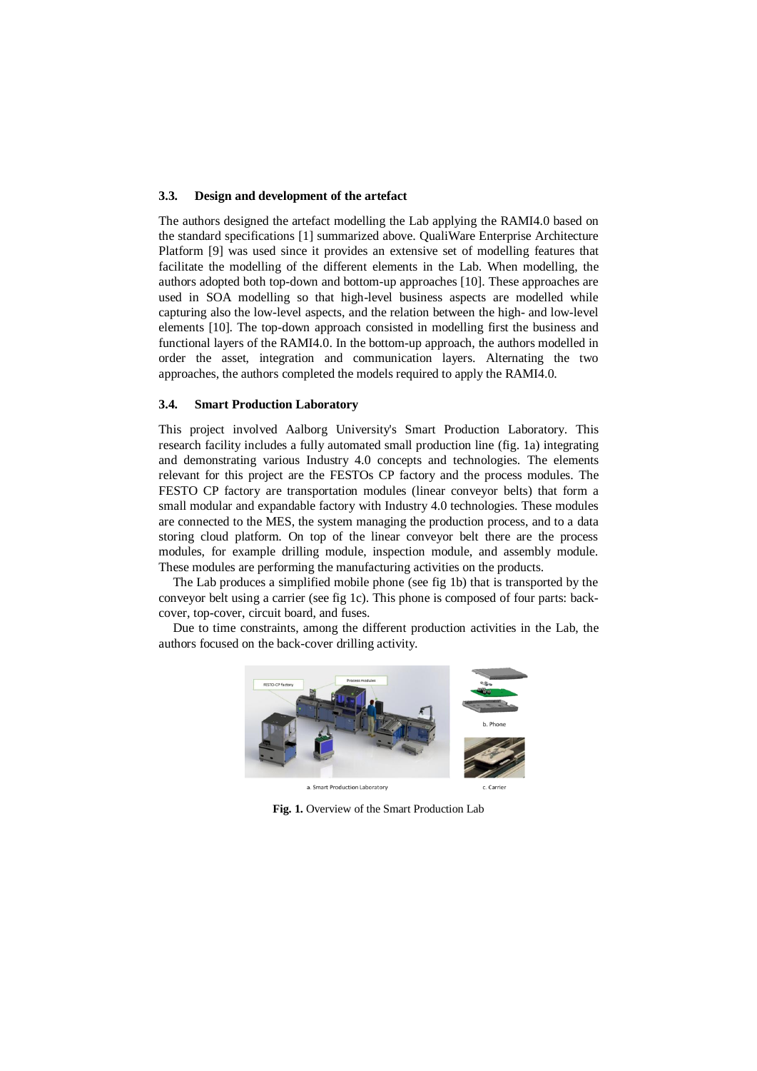#### **3.3. Design and development of the artefact**

The authors designed the artefact modelling the Lab applying the RAMI4.0 based on the standard specifications [1] summarized above. QualiWare Enterprise Architecture Platform [9] was used since it provides an extensive set of modelling features that facilitate the modelling of the different elements in the Lab. When modelling, the authors adopted both top-down and bottom-up approaches [10]. These approaches are used in SOA modelling so that high-level business aspects are modelled while capturing also the low-level aspects, and the relation between the high- and low-level elements [10]. The top-down approach consisted in modelling first the business and functional layers of the RAMI4.0. In the bottom-up approach, the authors modelled in order the asset, integration and communication layers. Alternating the two approaches, the authors completed the models required to apply the RAMI4.0.

#### **3.4. Smart Production Laboratory**

This project involved Aalborg University's Smart Production Laboratory. This research facility includes a fully automated small production line (fig. 1a) integrating and demonstrating various Industry 4.0 concepts and technologies. The elements relevant for this project are the FESTOs CP factory and the process modules. The FESTO CP factory are transportation modules (linear conveyor belts) that form a small modular and expandable factory with Industry 4.0 technologies. These modules are connected to the MES, the system managing the production process, and to a data storing cloud platform. On top of the linear conveyor belt there are the process modules, for example drilling module, inspection module, and assembly module. These modules are performing the manufacturing activities on the products.

The Lab produces a simplified mobile phone (see fig 1b) that is transported by the conveyor belt using a carrier (see fig 1c). This phone is composed of four parts: backcover, top-cover, circuit board, and fuses.

Due to time constraints, among the different production activities in the Lab, the authors focused on the back-cover drilling activity.



**Fig. 1.** Overview of the Smart Production Lab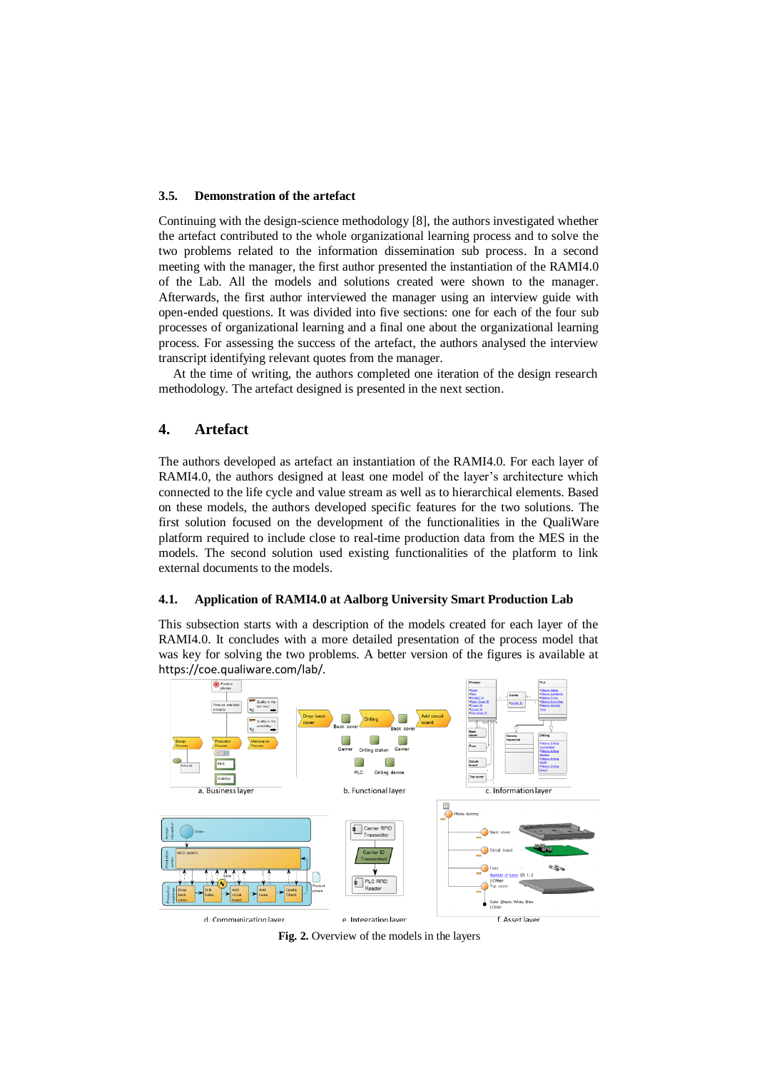#### **3.5. Demonstration of the artefact**

Continuing with the design-science methodology [8], the authors investigated whether the artefact contributed to the whole organizational learning process and to solve the two problems related to the information dissemination sub process. In a second meeting with the manager, the first author presented the instantiation of the RAMI4.0 of the Lab. All the models and solutions created were shown to the manager. Afterwards, the first author interviewed the manager using an interview guide with open-ended questions. It was divided into five sections: one for each of the four sub processes of organizational learning and a final one about the organizational learning process. For assessing the success of the artefact, the authors analysed the interview transcript identifying relevant quotes from the manager.

At the time of writing, the authors completed one iteration of the design research methodology. The artefact designed is presented in the next section.

### **4. Artefact**

The authors developed as artefact an instantiation of the RAMI4.0. For each layer of RAMI4.0, the authors designed at least one model of the layer's architecture which connected to the life cycle and value stream as well as to hierarchical elements. Based on these models, the authors developed specific features for the two solutions. The first solution focused on the development of the functionalities in the QualiWare platform required to include close to real-time production data from the MES in the models. The second solution used existing functionalities of the platform to link external documents to the models.

#### **4.1. Application of RAMI4.0 at Aalborg University Smart Production Lab**

This subsection starts with a description of the models created for each layer of the RAMI4.0. It concludes with a more detailed presentation of the process model that was key for solving the two problems. A better version of the figures is available at <https://coe.qualiware.com/lab/>.



**Fig. 2.** Overview of the models in the layers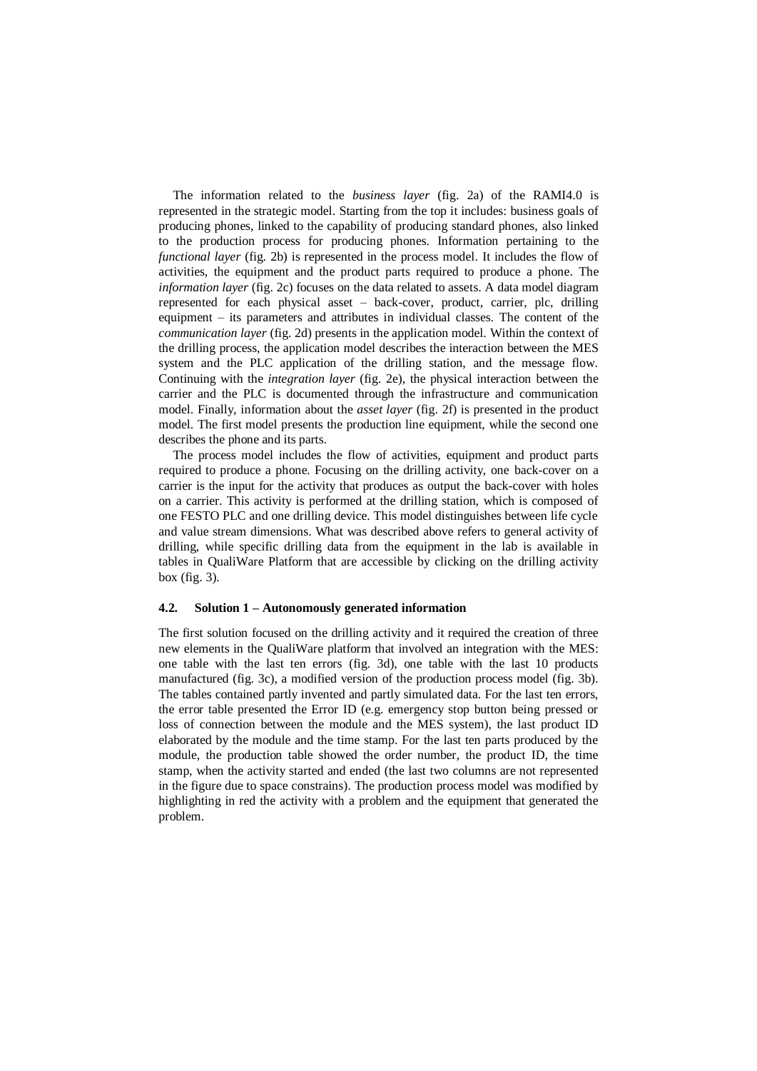The information related to the *business layer* (fig. 2a) of the RAMI4.0 is represented in the strategic model. Starting from the top it includes: business goals of producing phones, linked to the capability of producing standard phones, also linked to the production process for producing phones. Information pertaining to the *functional layer* (fig. 2b) is represented in the process model. It includes the flow of activities, the equipment and the product parts required to produce a phone. The *information layer* (fig. 2c) focuses on the data related to assets. A data model diagram represented for each physical asset – back-cover, product, carrier, plc, drilling equipment – its parameters and attributes in individual classes. The content of the *communication layer* (fig. 2d) presents in the application model. Within the context of the drilling process, the application model describes the interaction between the MES system and the PLC application of the drilling station, and the message flow. Continuing with the *integration layer* (fig. 2e), the physical interaction between the carrier and the PLC is documented through the infrastructure and communication model. Finally, information about the *asset layer* (fig. 2f) is presented in the product model. The first model presents the production line equipment, while the second one describes the phone and its parts.

The process model includes the flow of activities, equipment and product parts required to produce a phone. Focusing on the drilling activity, one back-cover on a carrier is the input for the activity that produces as output the back-cover with holes on a carrier. This activity is performed at the drilling station, which is composed of one FESTO PLC and one drilling device. This model distinguishes between life cycle and value stream dimensions. What was described above refers to general activity of drilling, while specific drilling data from the equipment in the lab is available in tables in QualiWare Platform that are accessible by clicking on the drilling activity box (fig. 3).

#### **4.2. Solution 1 – Autonomously generated information**

The first solution focused on the drilling activity and it required the creation of three new elements in the QualiWare platform that involved an integration with the MES: one table with the last ten errors (fig. 3d), one table with the last 10 products manufactured (fig. 3c), a modified version of the production process model (fig. 3b). The tables contained partly invented and partly simulated data. For the last ten errors, the error table presented the Error ID (e.g. emergency stop button being pressed or loss of connection between the module and the MES system), the last product ID elaborated by the module and the time stamp. For the last ten parts produced by the module, the production table showed the order number, the product ID, the time stamp, when the activity started and ended (the last two columns are not represented in the figure due to space constrains). The production process model was modified by highlighting in red the activity with a problem and the equipment that generated the problem.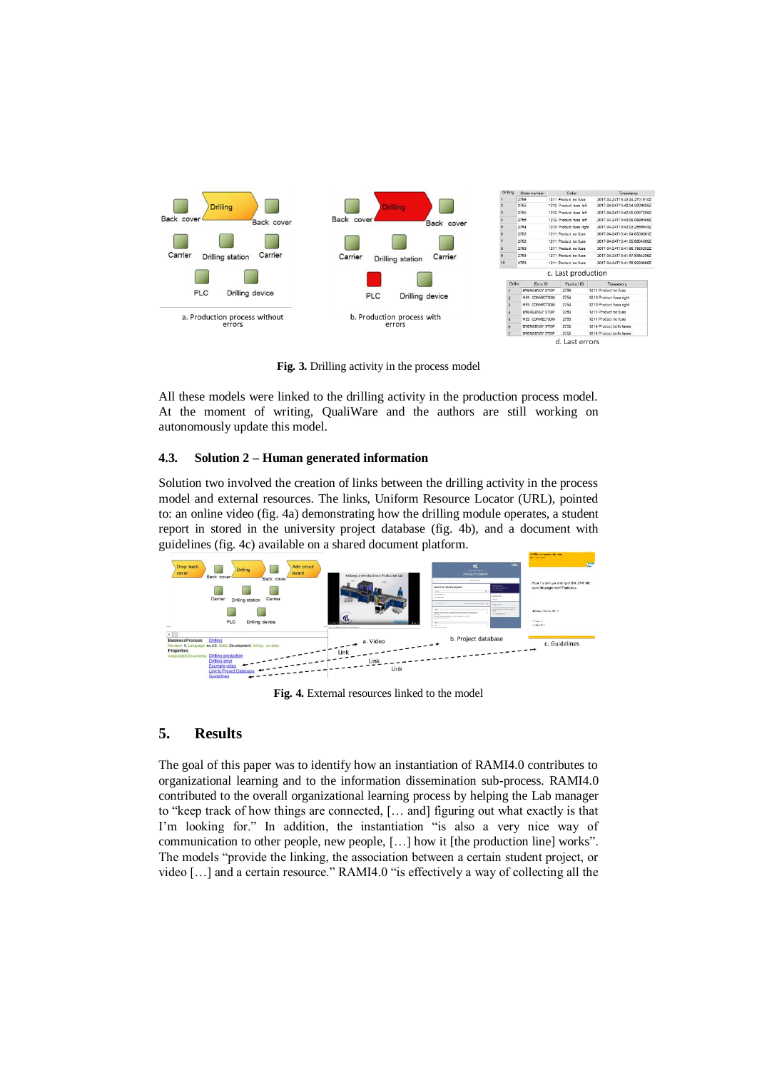

**Fig. 3.** Drilling activity in the process model

All these models were linked to the drilling activity in the production process model. At the moment of writing, QualiWare and the authors are still working on autonomously update this model.

## **4.3. Solution 2 – Human generated information**

Solution two involved the creation of links between the drilling activity in the process model and external resources. The links, Uniform Resource Locator (URL), pointed to: an online video (fig. 4a) demonstrating how the drilling module operates, a student report in stored in the university project database (fig. 4b), and a document with guidelines (fig. 4c) available on a shared document platform.



**Fig. 4.** External resources linked to the model

## **5. Results**

The goal of this paper was to identify how an instantiation of RAMI4.0 contributes to organizational learning and to the information dissemination sub-process. RAMI4.0 contributed to the overall organizational learning process by helping the Lab manager to "keep track of how things are connected, [… and] figuring out what exactly is that I'm looking for." In addition, the instantiation "is also a very nice way of communication to other people, new people, […] how it [the production line] works". The models "provide the linking, the association between a certain student project, or video […] and a certain resource." RAMI4.0 "is effectively a way of collecting all the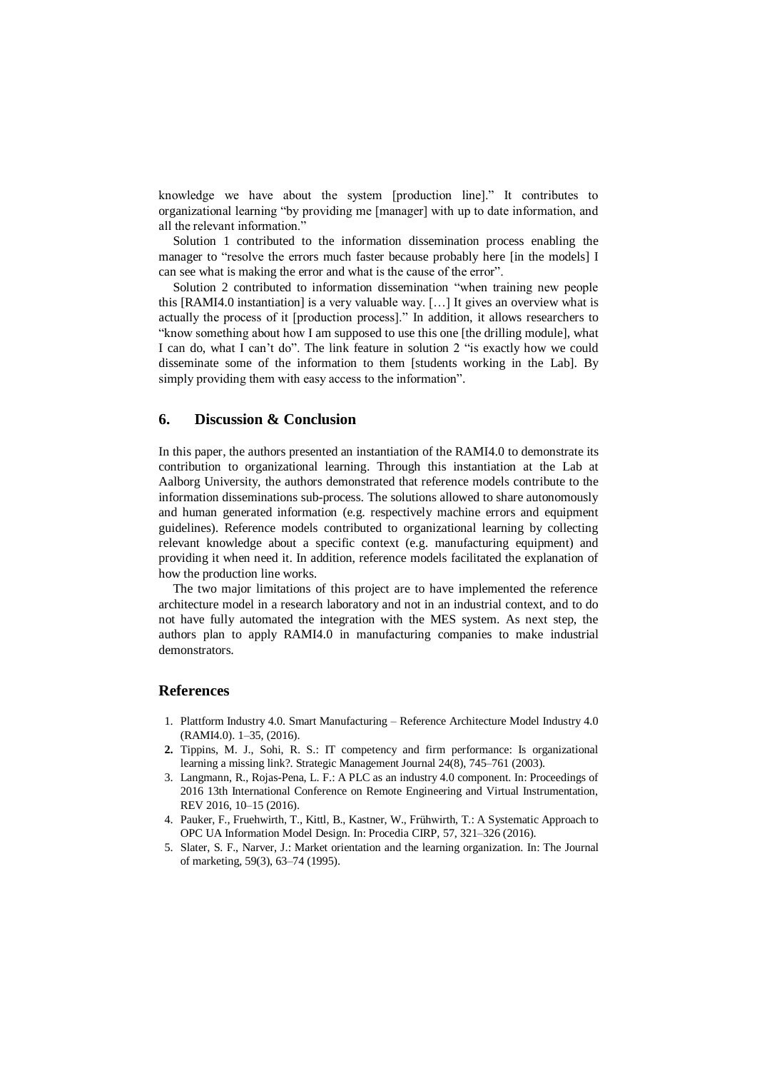knowledge we have about the system [production line]." It contributes to organizational learning "by providing me [manager] with up to date information, and all the relevant information."

Solution 1 contributed to the information dissemination process enabling the manager to "resolve the errors much faster because probably here [in the models] I can see what is making the error and what is the cause of the error".

Solution 2 contributed to information dissemination "when training new people this [RAMI4.0 instantiation] is a very valuable way. […] It gives an overview what is actually the process of it [production process]." In addition, it allows researchers to "know something about how I am supposed to use this one [the drilling module], what I can do, what I can't do". The link feature in solution 2 "is exactly how we could disseminate some of the information to them [students working in the Lab]. By simply providing them with easy access to the information".

### **6. Discussion & Conclusion**

In this paper, the authors presented an instantiation of the RAMI4.0 to demonstrate its contribution to organizational learning. Through this instantiation at the Lab at Aalborg University, the authors demonstrated that reference models contribute to the information disseminations sub-process. The solutions allowed to share autonomously and human generated information (e.g. respectively machine errors and equipment guidelines). Reference models contributed to organizational learning by collecting relevant knowledge about a specific context (e.g. manufacturing equipment) and providing it when need it. In addition, reference models facilitated the explanation of how the production line works.

The two major limitations of this project are to have implemented the reference architecture model in a research laboratory and not in an industrial context, and to do not have fully automated the integration with the MES system. As next step, the authors plan to apply RAMI4.0 in manufacturing companies to make industrial demonstrators.

# **References**

- 1. Plattform Industry 4.0. Smart Manufacturing Reference Architecture Model Industry 4.0 (RAMI4.0). 1–35, (2016).
- **2.** Tippins, M. J., Sohi, R. S.: IT competency and firm performance: Is organizational learning a missing link?. Strategic Management Journal 24(8), 745–761 (2003).
- 3. Langmann, R., Rojas-Pena, L. F.: A PLC as an industry 4.0 component. In: Proceedings of 2016 13th International Conference on Remote Engineering and Virtual Instrumentation, REV 2016, 10–15 (2016).
- 4. Pauker, F., Fruehwirth, T., Kittl, B., Kastner, W., Frühwirth, T.: A Systematic Approach to OPC UA Information Model Design. In: Procedia CIRP, 57, 321–326 (2016).
- 5. Slater, S. F., Narver, J.: Market orientation and the learning organization. In: The Journal of marketing, 59(3), 63–74 (1995).